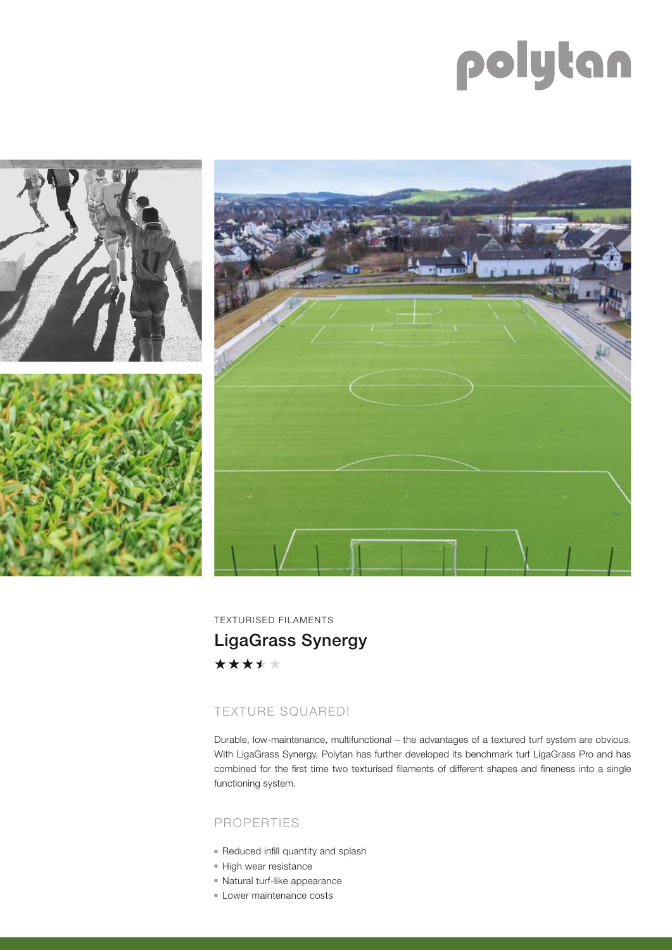# polytan





TEXTURISED FILAMENTS LigaGrass Synergy\*\*\*\*\*

## TEXTURE SQUARED!

Durable, low-maintenance, multifunctional – the advantages of a textured turf system are obvious. With LigaGrass Synergy, Polytan has further developed its benchmark turf LigaGrass Pro and has combined for the first time two texturised filaments of different shapes and fineness into a single functioning system.

## PROPERTIES

- Reduced infill quantity and splash
- High wear resistance
- Natural turf-like appearance
- Lower maintenance costs